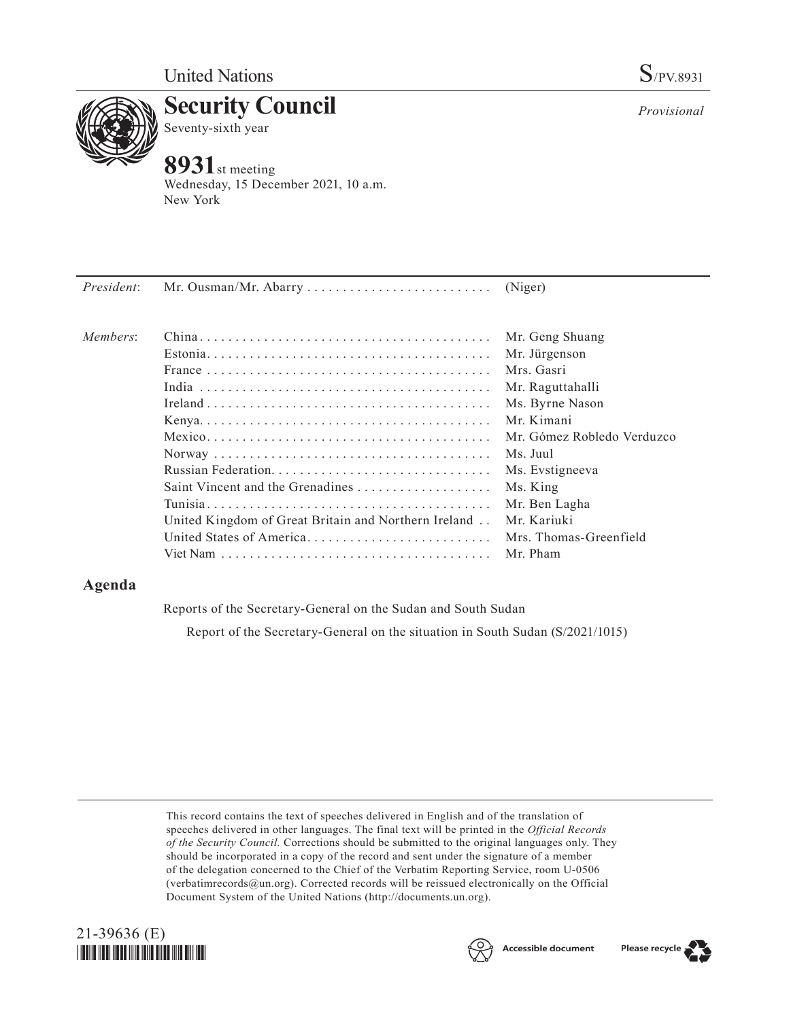

**Security Council** Seventy-sixth year

# **8931**st meeting

Wednesday, 15 December 2021, 10 a.m. New York

| President: |                                                                  |                            |
|------------|------------------------------------------------------------------|----------------------------|
| Members:   |                                                                  | Mr. Geng Shuang            |
|            |                                                                  | Mr. Jürgenson              |
|            |                                                                  | Mrs. Gasri                 |
|            |                                                                  | Mr. Raguttahalli           |
|            |                                                                  | Ms. Byrne Nason            |
|            |                                                                  | Mr. Kimani                 |
|            |                                                                  | Mr. Gómez Robledo Verduzco |
|            |                                                                  | Ms. Juul                   |
|            |                                                                  | Ms. Evstigneeva            |
|            | Saint Vincent and the Grenadines $\dots \dots \dots \dots \dots$ | Ms. King                   |
|            |                                                                  | Mr. Ben Lagha              |
|            | United Kingdom of Great Britain and Northern Ireland             | Mr. Kariuki                |
|            | United States of America                                         | Mrs. Thomas-Greenfield     |
|            |                                                                  | Mr. Pham                   |

## **Agenda**

Reports of the Secretary-General on the Sudan and South Sudan

Report of the Secretary-General on the situation in South Sudan (S/2021/1015)

This record contains the text of speeches delivered in English and of the translation of speeches delivered in other languages. The final text will be printed in the *Official Records of the Security Council.* Corrections should be submitted to the original languages only. They should be incorporated in a copy of the record and sent under the signature of a member of the delegation concerned to the Chief of the Verbatim Reporting Service, room U-0506 (verbatimrecords@un.org). Corrected records will be reissued electronically on the Official Document System of the United Nations (http://documents.un.org).







*Provisional*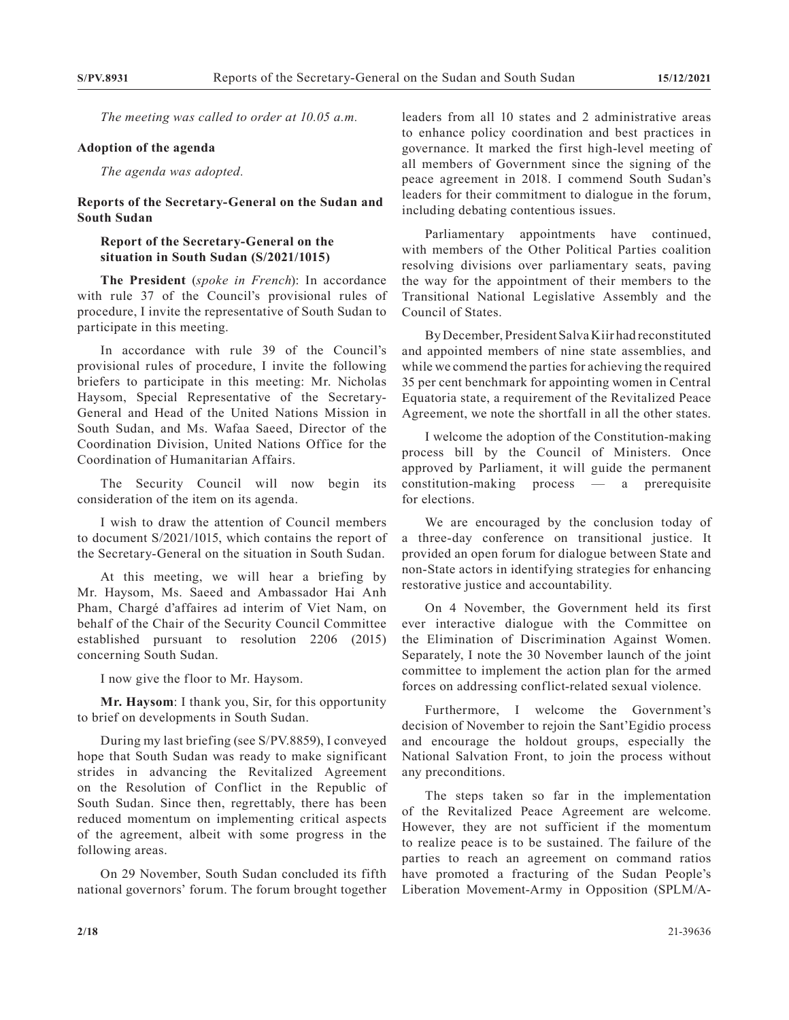*The meeting was called to order at 10.05 a.m.*

#### **Adoption of the agenda**

*The agenda was adopted.*

#### **Reports of the Secretary-General on the Sudan and South Sudan**

### **Report of the Secretary-General on the situation in South Sudan (S/2021/1015)**

**The President** (*spoke in French*): In accordance with rule 37 of the Council's provisional rules of procedure, I invite the representative of South Sudan to participate in this meeting.

In accordance with rule 39 of the Council's provisional rules of procedure, I invite the following briefers to participate in this meeting: Mr. Nicholas Haysom, Special Representative of the Secretary-General and Head of the United Nations Mission in South Sudan, and Ms. Wafaa Saeed, Director of the Coordination Division, United Nations Office for the Coordination of Humanitarian Affairs.

The Security Council will now begin its consideration of the item on its agenda.

I wish to draw the attention of Council members to document S/2021/1015, which contains the report of the Secretary-General on the situation in South Sudan.

At this meeting, we will hear a briefing by Mr. Haysom, Ms. Saeed and Ambassador Hai Anh Pham, Chargé d'affaires ad interim of Viet Nam, on behalf of the Chair of the Security Council Committee established pursuant to resolution 2206 (2015) concerning South Sudan.

I now give the floor to Mr. Haysom.

**Mr. Haysom**: I thank you, Sir, for this opportunity to brief on developments in South Sudan.

During my last briefing (see S/PV.8859), I conveyed hope that South Sudan was ready to make significant strides in advancing the Revitalized Agreement on the Resolution of Conflict in the Republic of South Sudan. Since then, regrettably, there has been reduced momentum on implementing critical aspects of the agreement, albeit with some progress in the following areas.

On 29 November, South Sudan concluded its fifth national governors' forum. The forum brought together

leaders from all 10 states and 2 administrative areas to enhance policy coordination and best practices in governance. It marked the first high-level meeting of all members of Government since the signing of the peace agreement in 2018. I commend South Sudan's leaders for their commitment to dialogue in the forum, including debating contentious issues.

Parliamentary appointments have continued, with members of the Other Political Parties coalition resolving divisions over parliamentary seats, paving the way for the appointment of their members to the Transitional National Legislative Assembly and the Council of States.

By December, President Salva Kiir had reconstituted and appointed members of nine state assemblies, and while we commend the parties for achieving the required 35 per cent benchmark for appointing women in Central Equatoria state, a requirement of the Revitalized Peace Agreement, we note the shortfall in all the other states.

I welcome the adoption of the Constitution-making process bill by the Council of Ministers. Once approved by Parliament, it will guide the permanent constitution-making process — a prerequisite for elections.

We are encouraged by the conclusion today of a three-day conference on transitional justice. It provided an open forum for dialogue between State and non-State actors in identifying strategies for enhancing restorative justice and accountability.

On 4 November, the Government held its first ever interactive dialogue with the Committee on the Elimination of Discrimination Against Women. Separately, I note the 30 November launch of the joint committee to implement the action plan for the armed forces on addressing conflict-related sexual violence.

Furthermore, I welcome the Government's decision of November to rejoin the Sant'Egidio process and encourage the holdout groups, especially the National Salvation Front, to join the process without any preconditions.

The steps taken so far in the implementation of the Revitalized Peace Agreement are welcome. However, they are not sufficient if the momentum to realize peace is to be sustained. The failure of the parties to reach an agreement on command ratios have promoted a fracturing of the Sudan People's Liberation Movement-Army in Opposition (SPLM/A-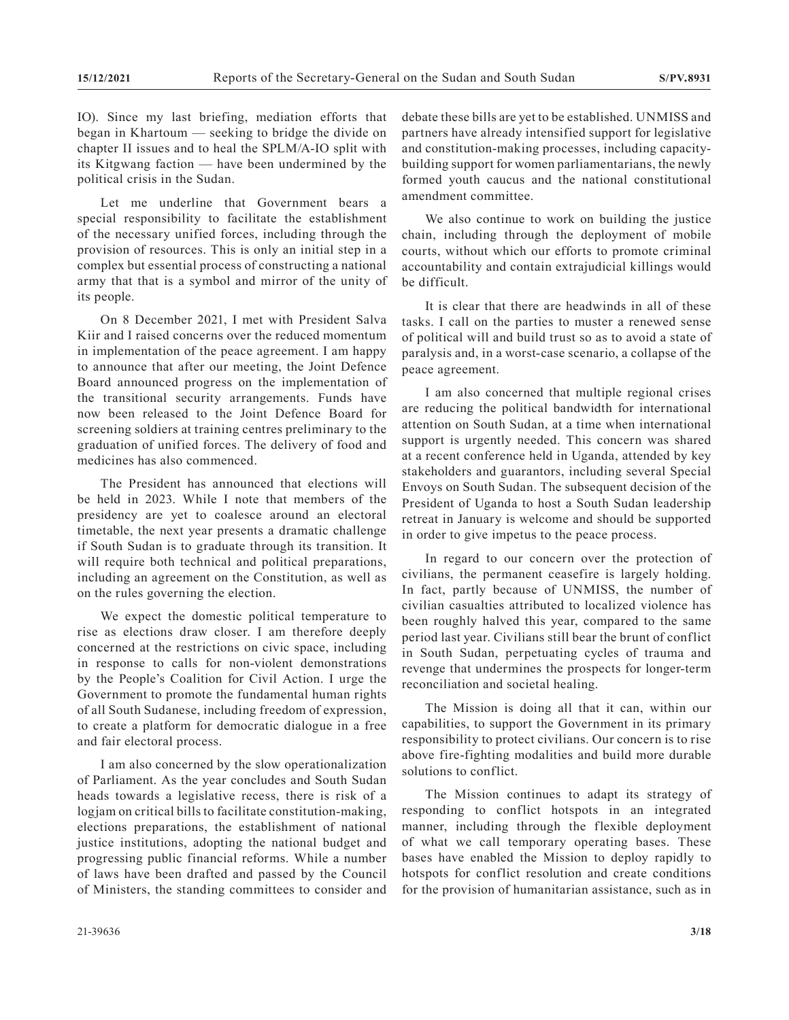IO). Since my last briefing, mediation efforts that began in Khartoum — seeking to bridge the divide on chapter II issues and to heal the SPLM/A-IO split with its Kitgwang faction — have been undermined by the political crisis in the Sudan.

Let me underline that Government bears a special responsibility to facilitate the establishment of the necessary unified forces, including through the provision of resources. This is only an initial step in a complex but essential process of constructing a national army that that is a symbol and mirror of the unity of its people.

On 8 December 2021, I met with President Salva Kiir and I raised concerns over the reduced momentum in implementation of the peace agreement. I am happy to announce that after our meeting, the Joint Defence Board announced progress on the implementation of the transitional security arrangements. Funds have now been released to the Joint Defence Board for screening soldiers at training centres preliminary to the graduation of unified forces. The delivery of food and medicines has also commenced.

The President has announced that elections will be held in 2023. While I note that members of the presidency are yet to coalesce around an electoral timetable, the next year presents a dramatic challenge if South Sudan is to graduate through its transition. It will require both technical and political preparations, including an agreement on the Constitution, as well as on the rules governing the election.

We expect the domestic political temperature to rise as elections draw closer. I am therefore deeply concerned at the restrictions on civic space, including in response to calls for non-violent demonstrations by the People's Coalition for Civil Action. I urge the Government to promote the fundamental human rights of all South Sudanese, including freedom of expression, to create a platform for democratic dialogue in a free and fair electoral process.

I am also concerned by the slow operationalization of Parliament. As the year concludes and South Sudan heads towards a legislative recess, there is risk of a logjam on critical bills to facilitate constitution-making, elections preparations, the establishment of national justice institutions, adopting the national budget and progressing public financial reforms. While a number of laws have been drafted and passed by the Council of Ministers, the standing committees to consider and

debate these bills are yet to be established. UNMISS and partners have already intensified support for legislative and constitution-making processes, including capacitybuilding support for women parliamentarians, the newly formed youth caucus and the national constitutional amendment committee.

We also continue to work on building the justice chain, including through the deployment of mobile courts, without which our efforts to promote criminal accountability and contain extrajudicial killings would be difficult.

It is clear that there are headwinds in all of these tasks. I call on the parties to muster a renewed sense of political will and build trust so as to avoid a state of paralysis and, in a worst-case scenario, a collapse of the peace agreement.

I am also concerned that multiple regional crises are reducing the political bandwidth for international attention on South Sudan, at a time when international support is urgently needed. This concern was shared at a recent conference held in Uganda, attended by key stakeholders and guarantors, including several Special Envoys on South Sudan. The subsequent decision of the President of Uganda to host a South Sudan leadership retreat in January is welcome and should be supported in order to give impetus to the peace process.

In regard to our concern over the protection of civilians, the permanent ceasefire is largely holding. In fact, partly because of UNMISS, the number of civilian casualties attributed to localized violence has been roughly halved this year, compared to the same period last year. Civilians still bear the brunt of conflict in South Sudan, perpetuating cycles of trauma and revenge that undermines the prospects for longer-term reconciliation and societal healing.

The Mission is doing all that it can, within our capabilities, to support the Government in its primary responsibility to protect civilians. Our concern is to rise above fire-fighting modalities and build more durable solutions to conflict.

The Mission continues to adapt its strategy of responding to conflict hotspots in an integrated manner, including through the flexible deployment of what we call temporary operating bases. These bases have enabled the Mission to deploy rapidly to hotspots for conflict resolution and create conditions for the provision of humanitarian assistance, such as in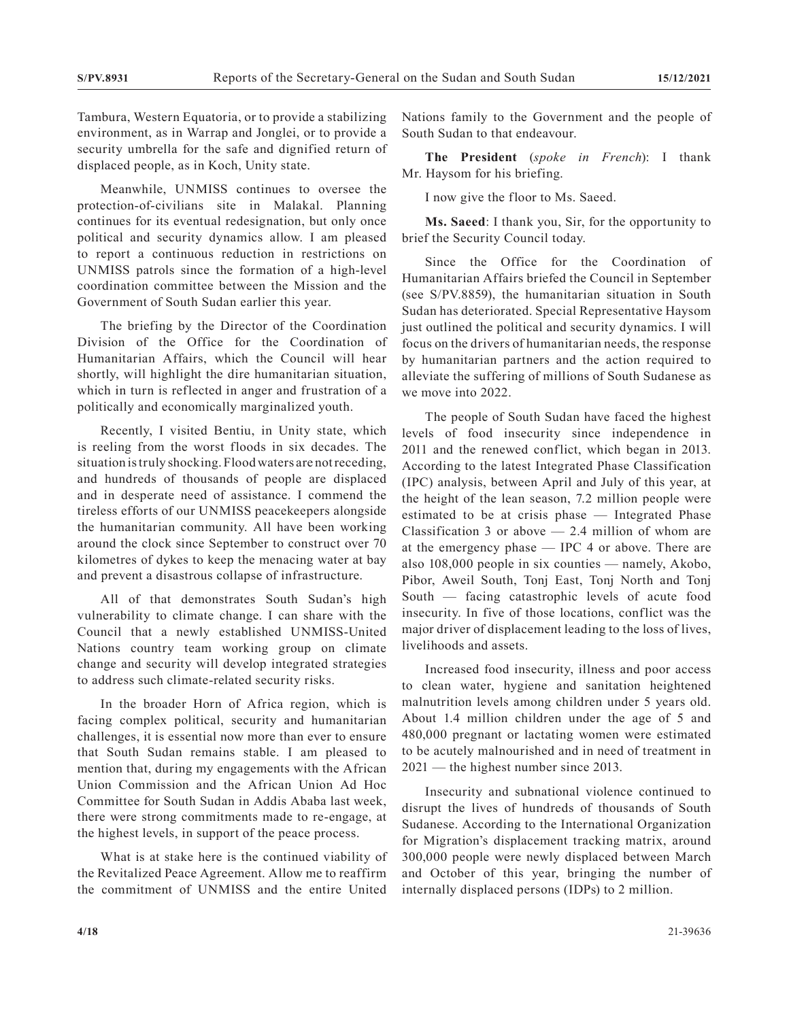Tambura, Western Equatoria, or to provide a stabilizing environment, as in Warrap and Jonglei, or to provide a security umbrella for the safe and dignified return of displaced people, as in Koch, Unity state.

Meanwhile, UNMISS continues to oversee the protection-of-civilians site in Malakal. Planning continues for its eventual redesignation, but only once political and security dynamics allow. I am pleased to report a continuous reduction in restrictions on UNMISS patrols since the formation of a high-level coordination committee between the Mission and the Government of South Sudan earlier this year.

The briefing by the Director of the Coordination Division of the Office for the Coordination of Humanitarian Affairs, which the Council will hear shortly, will highlight the dire humanitarian situation, which in turn is reflected in anger and frustration of a politically and economically marginalized youth.

Recently, I visited Bentiu, in Unity state, which is reeling from the worst floods in six decades. The situation is truly shocking. Flood waters are not receding, and hundreds of thousands of people are displaced and in desperate need of assistance. I commend the tireless efforts of our UNMISS peacekeepers alongside the humanitarian community. All have been working around the clock since September to construct over 70 kilometres of dykes to keep the menacing water at bay and prevent a disastrous collapse of infrastructure.

All of that demonstrates South Sudan's high vulnerability to climate change. I can share with the Council that a newly established UNMISS-United Nations country team working group on climate change and security will develop integrated strategies to address such climate-related security risks.

In the broader Horn of Africa region, which is facing complex political, security and humanitarian challenges, it is essential now more than ever to ensure that South Sudan remains stable. I am pleased to mention that, during my engagements with the African Union Commission and the African Union Ad Hoc Committee for South Sudan in Addis Ababa last week, there were strong commitments made to re-engage, at the highest levels, in support of the peace process.

What is at stake here is the continued viability of the Revitalized Peace Agreement. Allow me to reaffirm the commitment of UNMISS and the entire United

Nations family to the Government and the people of South Sudan to that endeavour.

**The President** (*spoke in French*): I thank Mr. Haysom for his briefing.

I now give the floor to Ms. Saeed.

**Ms. Saeed**: I thank you, Sir, for the opportunity to brief the Security Council today.

Since the Office for the Coordination of Humanitarian Affairs briefed the Council in September (see S/PV.8859), the humanitarian situation in South Sudan has deteriorated. Special Representative Haysom just outlined the political and security dynamics. I will focus on the drivers of humanitarian needs, the response by humanitarian partners and the action required to alleviate the suffering of millions of South Sudanese as we move into 2022.

The people of South Sudan have faced the highest levels of food insecurity since independence in 2011 and the renewed conflict, which began in 2013. According to the latest Integrated Phase Classification (IPC) analysis, between April and July of this year, at the height of the lean season, 7.2 million people were estimated to be at crisis phase — Integrated Phase Classification 3 or above  $-2.4$  million of whom are at the emergency phase — IPC 4 or above. There are also 108,000 people in six counties — namely, Akobo, Pibor, Aweil South, Tonj East, Tonj North and Tonj South — facing catastrophic levels of acute food insecurity. In five of those locations, conflict was the major driver of displacement leading to the loss of lives, livelihoods and assets.

Increased food insecurity, illness and poor access to clean water, hygiene and sanitation heightened malnutrition levels among children under 5 years old. About 1.4 million children under the age of 5 and 480,000 pregnant or lactating women were estimated to be acutely malnourished and in need of treatment in 2021 — the highest number since 2013.

Insecurity and subnational violence continued to disrupt the lives of hundreds of thousands of South Sudanese. According to the International Organization for Migration's displacement tracking matrix, around 300,000 people were newly displaced between March and October of this year, bringing the number of internally displaced persons (IDPs) to 2 million.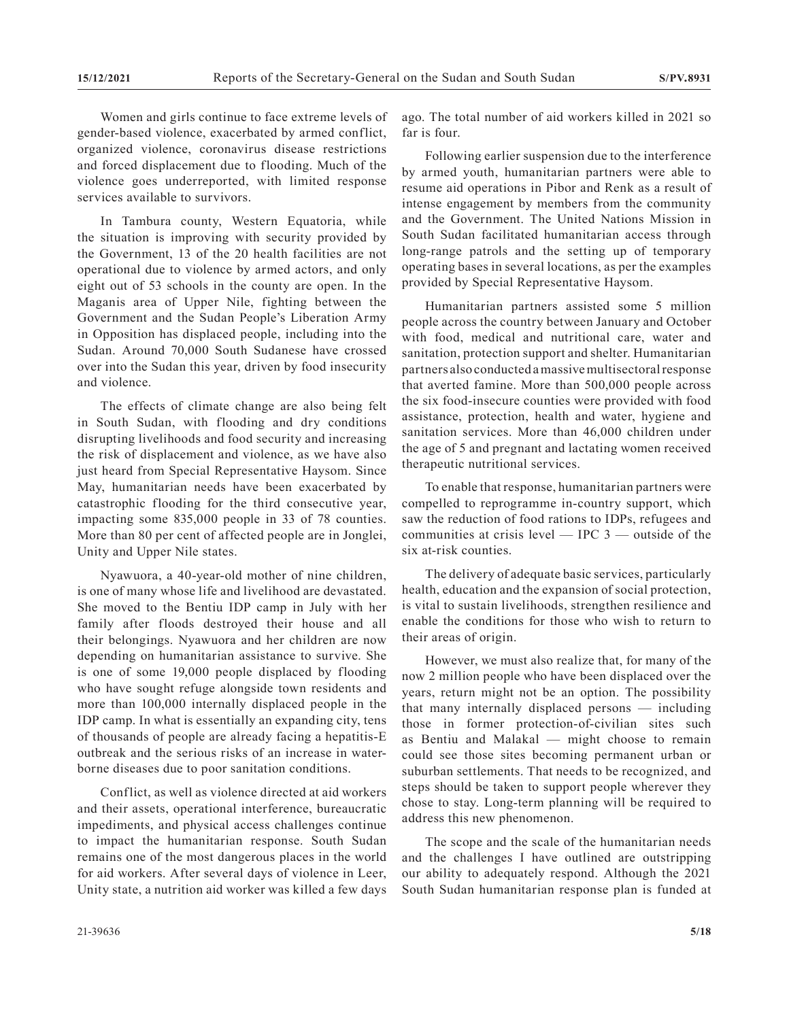Women and girls continue to face extreme levels of gender-based violence, exacerbated by armed conflict, organized violence, coronavirus disease restrictions and forced displacement due to flooding. Much of the violence goes underreported, with limited response services available to survivors.

In Tambura county, Western Equatoria, while the situation is improving with security provided by the Government, 13 of the 20 health facilities are not operational due to violence by armed actors, and only eight out of 53 schools in the county are open. In the Maganis area of Upper Nile, fighting between the Government and the Sudan People's Liberation Army in Opposition has displaced people, including into the Sudan. Around 70,000 South Sudanese have crossed over into the Sudan this year, driven by food insecurity and violence.

The effects of climate change are also being felt in South Sudan, with flooding and dry conditions disrupting livelihoods and food security and increasing the risk of displacement and violence, as we have also just heard from Special Representative Haysom. Since May, humanitarian needs have been exacerbated by catastrophic flooding for the third consecutive year, impacting some 835,000 people in 33 of 78 counties. More than 80 per cent of affected people are in Jonglei, Unity and Upper Nile states.

Nyawuora, a 40-year-old mother of nine children, is one of many whose life and livelihood are devastated. She moved to the Bentiu IDP camp in July with her family after floods destroyed their house and all their belongings. Nyawuora and her children are now depending on humanitarian assistance to survive. She is one of some 19,000 people displaced by flooding who have sought refuge alongside town residents and more than 100,000 internally displaced people in the IDP camp. In what is essentially an expanding city, tens of thousands of people are already facing a hepatitis-E outbreak and the serious risks of an increase in waterborne diseases due to poor sanitation conditions.

Conflict, as well as violence directed at aid workers and their assets, operational interference, bureaucratic impediments, and physical access challenges continue to impact the humanitarian response. South Sudan remains one of the most dangerous places in the world for aid workers. After several days of violence in Leer, Unity state, a nutrition aid worker was killed a few days

ago. The total number of aid workers killed in 2021 so far is four.

Following earlier suspension due to the interference by armed youth, humanitarian partners were able to resume aid operations in Pibor and Renk as a result of intense engagement by members from the community and the Government. The United Nations Mission in South Sudan facilitated humanitarian access through long-range patrols and the setting up of temporary operating bases in several locations, as per the examples provided by Special Representative Haysom.

Humanitarian partners assisted some 5 million people across the country between January and October with food, medical and nutritional care, water and sanitation, protection support and shelter. Humanitarian partners also conducted a massive multisectoral response that averted famine. More than 500,000 people across the six food-insecure counties were provided with food assistance, protection, health and water, hygiene and sanitation services. More than 46,000 children under the age of 5 and pregnant and lactating women received therapeutic nutritional services.

To enable that response, humanitarian partners were compelled to reprogramme in-country support, which saw the reduction of food rations to IDPs, refugees and communities at crisis level  $-$  IPC  $3 -$  outside of the six at-risk counties.

The delivery of adequate basic services, particularly health, education and the expansion of social protection, is vital to sustain livelihoods, strengthen resilience and enable the conditions for those who wish to return to their areas of origin.

However, we must also realize that, for many of the now 2 million people who have been displaced over the years, return might not be an option. The possibility that many internally displaced persons — including those in former protection-of-civilian sites such as Bentiu and Malakal — might choose to remain could see those sites becoming permanent urban or suburban settlements. That needs to be recognized, and steps should be taken to support people wherever they chose to stay. Long-term planning will be required to address this new phenomenon.

The scope and the scale of the humanitarian needs and the challenges I have outlined are outstripping our ability to adequately respond. Although the 2021 South Sudan humanitarian response plan is funded at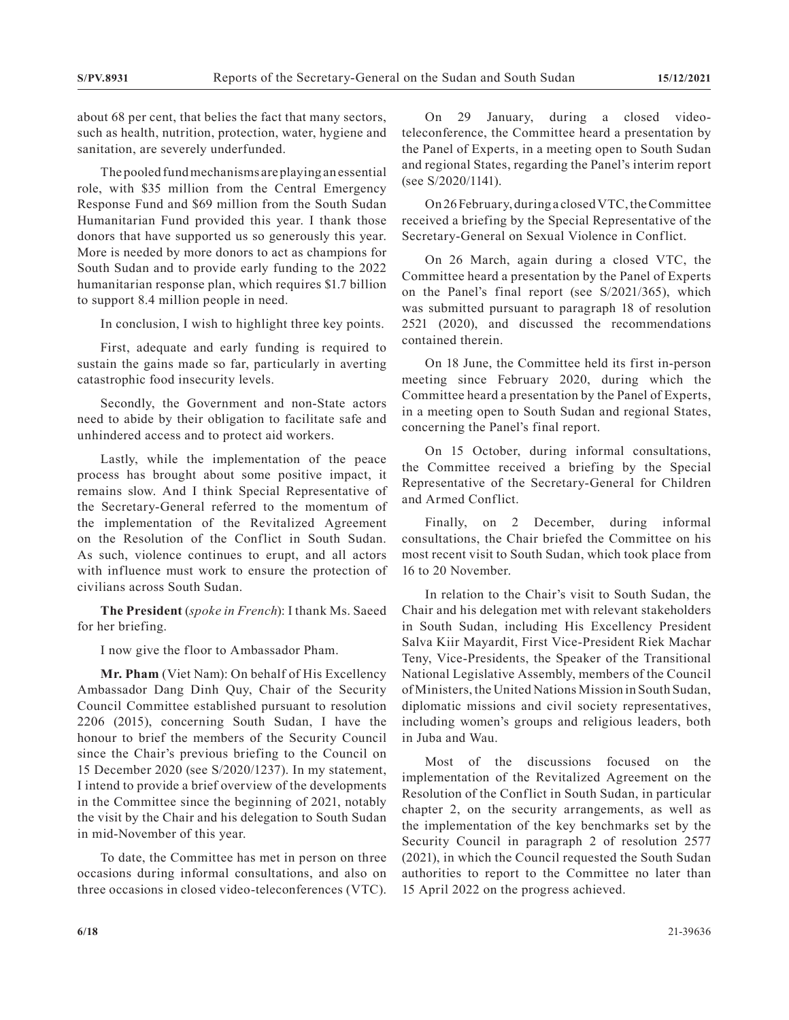about 68 per cent, that belies the fact that many sectors, such as health, nutrition, protection, water, hygiene and sanitation, are severely underfunded.

The pooled fund mechanisms are playing an essential role, with \$35 million from the Central Emergency Response Fund and \$69 million from the South Sudan Humanitarian Fund provided this year. I thank those donors that have supported us so generously this year. More is needed by more donors to act as champions for South Sudan and to provide early funding to the 2022 humanitarian response plan, which requires \$1.7 billion to support 8.4 million people in need.

In conclusion, I wish to highlight three key points.

First, adequate and early funding is required to sustain the gains made so far, particularly in averting catastrophic food insecurity levels.

Secondly, the Government and non-State actors need to abide by their obligation to facilitate safe and unhindered access and to protect aid workers.

Lastly, while the implementation of the peace process has brought about some positive impact, it remains slow. And I think Special Representative of the Secretary-General referred to the momentum of the implementation of the Revitalized Agreement on the Resolution of the Conflict in South Sudan. As such, violence continues to erupt, and all actors with influence must work to ensure the protection of civilians across South Sudan.

**The President** (*spoke in French*): I thank Ms. Saeed for her briefing.

I now give the floor to Ambassador Pham.

**Mr. Pham** (Viet Nam): On behalf of His Excellency Ambassador Dang Dinh Quy, Chair of the Security Council Committee established pursuant to resolution 2206 (2015), concerning South Sudan, I have the honour to brief the members of the Security Council since the Chair's previous briefing to the Council on 15 December 2020 (see S/2020/1237). In my statement, I intend to provide a brief overview of the developments in the Committee since the beginning of 2021, notably the visit by the Chair and his delegation to South Sudan in mid-November of this year.

To date, the Committee has met in person on three occasions during informal consultations, and also on three occasions in closed video-teleconferences (VTC).

On 29 January, during a closed videoteleconference, the Committee heard a presentation by the Panel of Experts, in a meeting open to South Sudan and regional States, regarding the Panel's interim report (see S/2020/1141).

On 26 February, during a closed VTC, the Committee received a briefing by the Special Representative of the Secretary-General on Sexual Violence in Conflict.

On 26 March, again during a closed VTC, the Committee heard a presentation by the Panel of Experts on the Panel's final report (see S/2021/365), which was submitted pursuant to paragraph 18 of resolution 2521 (2020), and discussed the recommendations contained therein.

On 18 June, the Committee held its first in-person meeting since February 2020, during which the Committee heard a presentation by the Panel of Experts, in a meeting open to South Sudan and regional States, concerning the Panel's final report.

On 15 October, during informal consultations, the Committee received a briefing by the Special Representative of the Secretary-General for Children and Armed Conflict.

Finally, on 2 December, during informal consultations, the Chair briefed the Committee on his most recent visit to South Sudan, which took place from 16 to 20 November.

In relation to the Chair's visit to South Sudan, the Chair and his delegation met with relevant stakeholders in South Sudan, including His Excellency President Salva Kiir Mayardit, First Vice-President Riek Machar Teny, Vice-Presidents, the Speaker of the Transitional National Legislative Assembly, members of the Council of Ministers, the United Nations Mission in South Sudan, diplomatic missions and civil society representatives, including women's groups and religious leaders, both in Juba and Wau.

Most of the discussions focused on the implementation of the Revitalized Agreement on the Resolution of the Conflict in South Sudan, in particular chapter 2, on the security arrangements, as well as the implementation of the key benchmarks set by the Security Council in paragraph 2 of resolution 2577 (2021), in which the Council requested the South Sudan authorities to report to the Committee no later than 15 April 2022 on the progress achieved.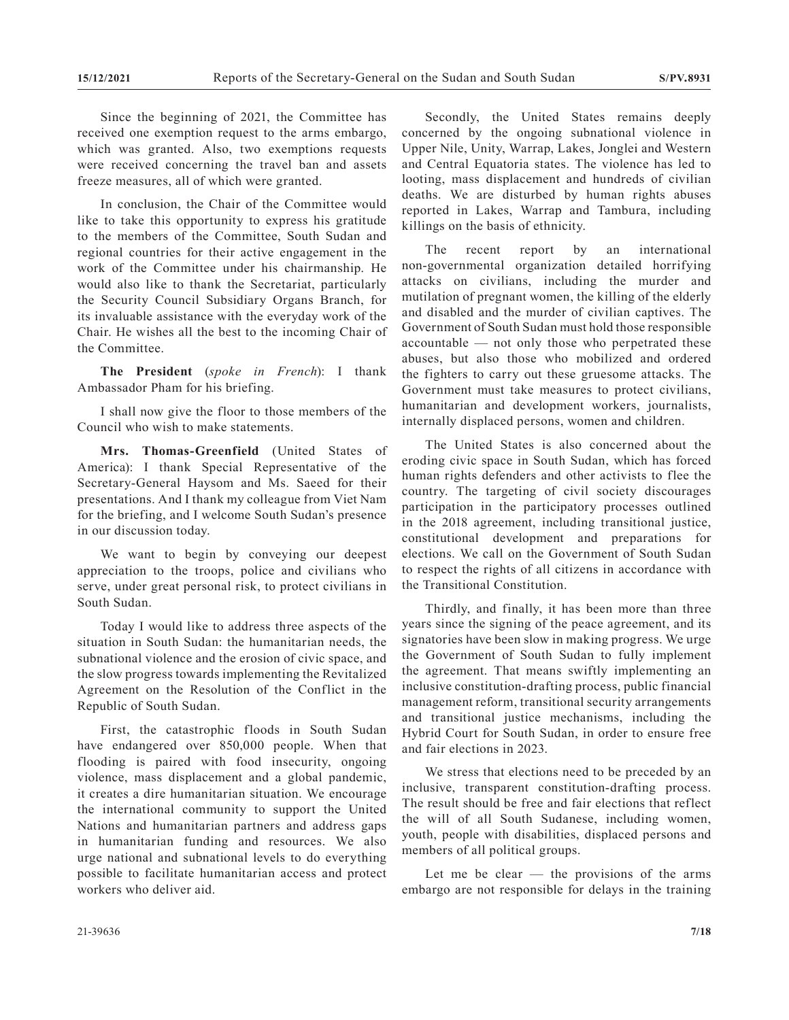Since the beginning of 2021, the Committee has received one exemption request to the arms embargo, which was granted. Also, two exemptions requests were received concerning the travel ban and assets freeze measures, all of which were granted.

In conclusion, the Chair of the Committee would like to take this opportunity to express his gratitude to the members of the Committee, South Sudan and regional countries for their active engagement in the work of the Committee under his chairmanship. He would also like to thank the Secretariat, particularly the Security Council Subsidiary Organs Branch, for its invaluable assistance with the everyday work of the Chair. He wishes all the best to the incoming Chair of the Committee.

**The President** (*spoke in French*): I thank Ambassador Pham for his briefing.

I shall now give the floor to those members of the Council who wish to make statements.

**Mrs. Thomas-Greenfield** (United States of America): I thank Special Representative of the Secretary-General Haysom and Ms. Saeed for their presentations. And I thank my colleague from Viet Nam for the briefing, and I welcome South Sudan's presence in our discussion today.

We want to begin by conveying our deepest appreciation to the troops, police and civilians who serve, under great personal risk, to protect civilians in South Sudan.

Today I would like to address three aspects of the situation in South Sudan: the humanitarian needs, the subnational violence and the erosion of civic space, and the slow progress towards implementing the Revitalized Agreement on the Resolution of the Conflict in the Republic of South Sudan.

First, the catastrophic floods in South Sudan have endangered over 850,000 people. When that flooding is paired with food insecurity, ongoing violence, mass displacement and a global pandemic, it creates a dire humanitarian situation. We encourage the international community to support the United Nations and humanitarian partners and address gaps in humanitarian funding and resources. We also urge national and subnational levels to do everything possible to facilitate humanitarian access and protect workers who deliver aid.

Secondly, the United States remains deeply concerned by the ongoing subnational violence in Upper Nile, Unity, Warrap, Lakes, Jonglei and Western and Central Equatoria states. The violence has led to looting, mass displacement and hundreds of civilian deaths. We are disturbed by human rights abuses reported in Lakes, Warrap and Tambura, including killings on the basis of ethnicity.

The recent report by an international non-governmental organization detailed horrifying attacks on civilians, including the murder and mutilation of pregnant women, the killing of the elderly and disabled and the murder of civilian captives. The Government of South Sudan must hold those responsible accountable — not only those who perpetrated these abuses, but also those who mobilized and ordered the fighters to carry out these gruesome attacks. The Government must take measures to protect civilians, humanitarian and development workers, journalists, internally displaced persons, women and children.

The United States is also concerned about the eroding civic space in South Sudan, which has forced human rights defenders and other activists to flee the country. The targeting of civil society discourages participation in the participatory processes outlined in the 2018 agreement, including transitional justice, constitutional development and preparations for elections. We call on the Government of South Sudan to respect the rights of all citizens in accordance with the Transitional Constitution.

Thirdly, and finally, it has been more than three years since the signing of the peace agreement, and its signatories have been slow in making progress. We urge the Government of South Sudan to fully implement the agreement. That means swiftly implementing an inclusive constitution-drafting process, public financial management reform, transitional security arrangements and transitional justice mechanisms, including the Hybrid Court for South Sudan, in order to ensure free and fair elections in 2023.

We stress that elections need to be preceded by an inclusive, transparent constitution-drafting process. The result should be free and fair elections that reflect the will of all South Sudanese, including women, youth, people with disabilities, displaced persons and members of all political groups.

Let me be clear  $-$  the provisions of the arms embargo are not responsible for delays in the training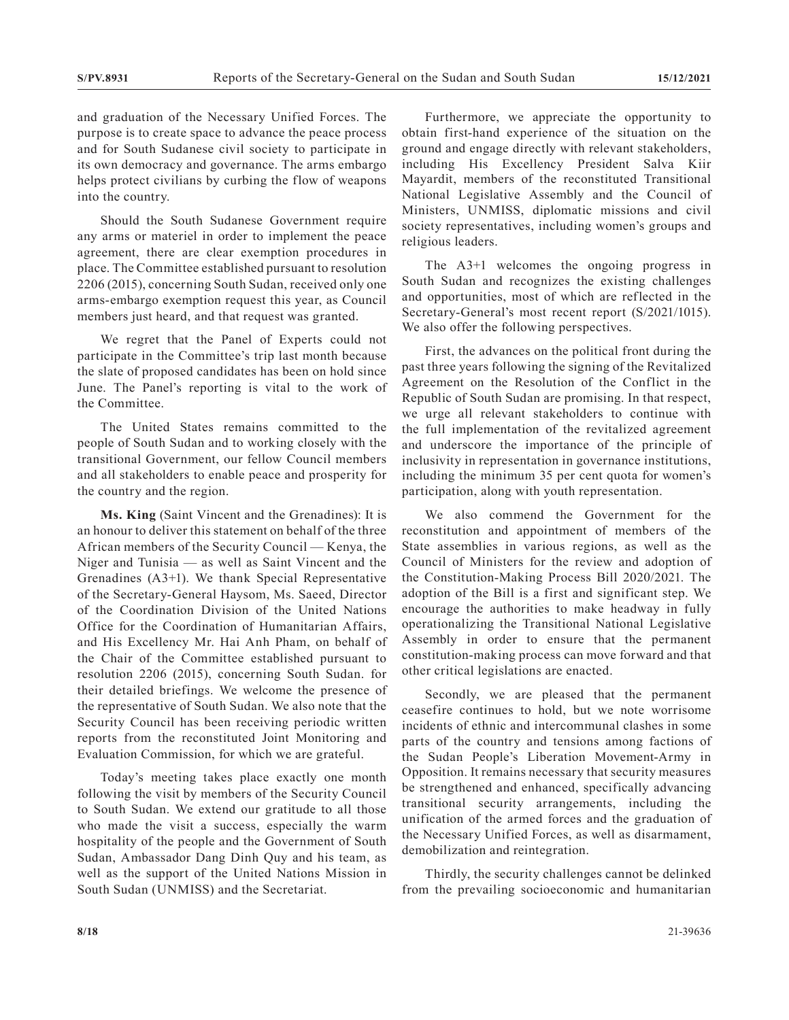and graduation of the Necessary Unified Forces. The purpose is to create space to advance the peace process and for South Sudanese civil society to participate in its own democracy and governance. The arms embargo helps protect civilians by curbing the flow of weapons into the country.

Should the South Sudanese Government require any arms or materiel in order to implement the peace agreement, there are clear exemption procedures in place. The Committee established pursuant to resolution 2206 (2015), concerning South Sudan, received only one arms-embargo exemption request this year, as Council members just heard, and that request was granted.

We regret that the Panel of Experts could not participate in the Committee's trip last month because the slate of proposed candidates has been on hold since June. The Panel's reporting is vital to the work of the Committee.

The United States remains committed to the people of South Sudan and to working closely with the transitional Government, our fellow Council members and all stakeholders to enable peace and prosperity for the country and the region.

**Ms. King** (Saint Vincent and the Grenadines): It is an honour to deliver this statement on behalf of the three African members of the Security Council — Kenya, the Niger and Tunisia — as well as Saint Vincent and the Grenadines (A3+1). We thank Special Representative of the Secretary-General Haysom, Ms. Saeed, Director of the Coordination Division of the United Nations Office for the Coordination of Humanitarian Affairs, and His Excellency Mr. Hai Anh Pham, on behalf of the Chair of the Committee established pursuant to resolution 2206 (2015), concerning South Sudan. for their detailed briefings. We welcome the presence of the representative of South Sudan. We also note that the Security Council has been receiving periodic written reports from the reconstituted Joint Monitoring and Evaluation Commission, for which we are grateful.

Today's meeting takes place exactly one month following the visit by members of the Security Council to South Sudan. We extend our gratitude to all those who made the visit a success, especially the warm hospitality of the people and the Government of South Sudan, Ambassador Dang Dinh Quy and his team, as well as the support of the United Nations Mission in South Sudan (UNMISS) and the Secretariat.

Furthermore, we appreciate the opportunity to obtain first-hand experience of the situation on the ground and engage directly with relevant stakeholders, including His Excellency President Salva Kiir Mayardit, members of the reconstituted Transitional National Legislative Assembly and the Council of Ministers, UNMISS, diplomatic missions and civil society representatives, including women's groups and religious leaders.

The A3+1 welcomes the ongoing progress in South Sudan and recognizes the existing challenges and opportunities, most of which are reflected in the Secretary-General's most recent report (S/2021/1015). We also offer the following perspectives.

First, the advances on the political front during the past three years following the signing of the Revitalized Agreement on the Resolution of the Conflict in the Republic of South Sudan are promising. In that respect, we urge all relevant stakeholders to continue with the full implementation of the revitalized agreement and underscore the importance of the principle of inclusivity in representation in governance institutions, including the minimum 35 per cent quota for women's participation, along with youth representation.

We also commend the Government for the reconstitution and appointment of members of the State assemblies in various regions, as well as the Council of Ministers for the review and adoption of the Constitution-Making Process Bill 2020/2021. The adoption of the Bill is a first and significant step. We encourage the authorities to make headway in fully operationalizing the Transitional National Legislative Assembly in order to ensure that the permanent constitution-making process can move forward and that other critical legislations are enacted.

Secondly, we are pleased that the permanent ceasefire continues to hold, but we note worrisome incidents of ethnic and intercommunal clashes in some parts of the country and tensions among factions of the Sudan People's Liberation Movement-Army in Opposition. It remains necessary that security measures be strengthened and enhanced, specifically advancing transitional security arrangements, including the unification of the armed forces and the graduation of the Necessary Unified Forces, as well as disarmament, demobilization and reintegration.

Thirdly, the security challenges cannot be delinked from the prevailing socioeconomic and humanitarian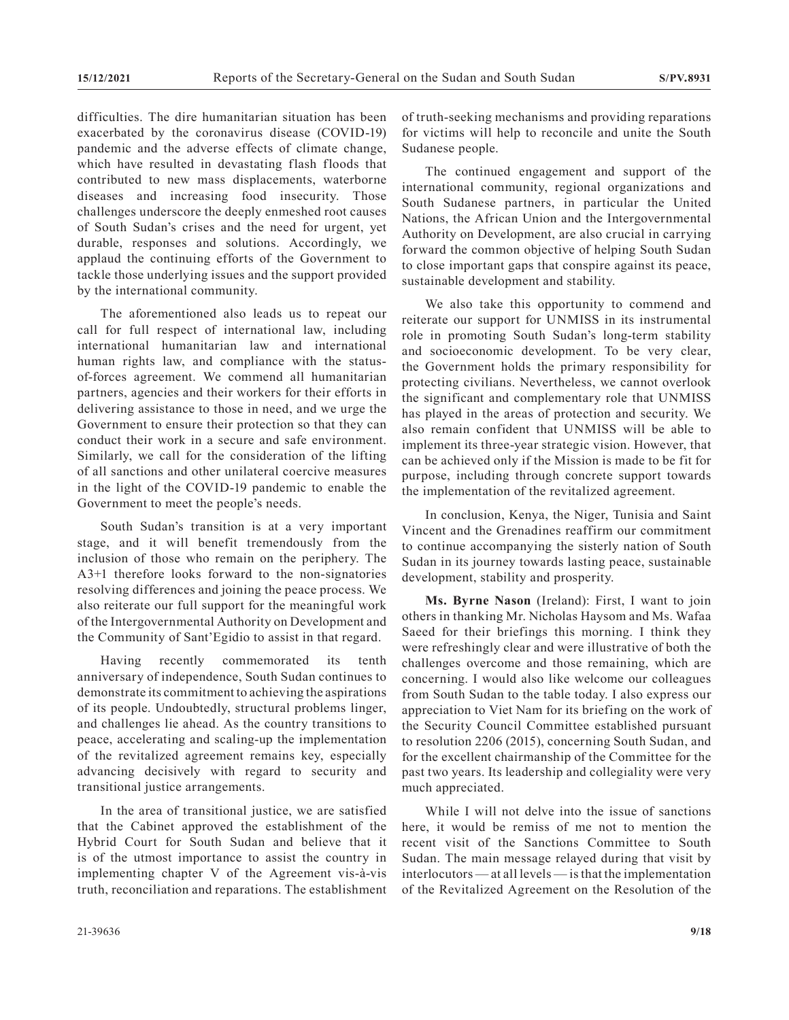difficulties. The dire humanitarian situation has been exacerbated by the coronavirus disease (COVID-19) pandemic and the adverse effects of climate change, which have resulted in devastating flash floods that contributed to new mass displacements, waterborne diseases and increasing food insecurity. Those challenges underscore the deeply enmeshed root causes of South Sudan's crises and the need for urgent, yet durable, responses and solutions. Accordingly, we applaud the continuing efforts of the Government to tackle those underlying issues and the support provided by the international community.

The aforementioned also leads us to repeat our call for full respect of international law, including international humanitarian law and international human rights law, and compliance with the statusof-forces agreement. We commend all humanitarian partners, agencies and their workers for their efforts in delivering assistance to those in need, and we urge the Government to ensure their protection so that they can conduct their work in a secure and safe environment. Similarly, we call for the consideration of the lifting of all sanctions and other unilateral coercive measures in the light of the COVID-19 pandemic to enable the Government to meet the people's needs.

South Sudan's transition is at a very important stage, and it will benefit tremendously from the inclusion of those who remain on the periphery. The A3+1 therefore looks forward to the non-signatories resolving differences and joining the peace process. We also reiterate our full support for the meaningful work of the Intergovernmental Authority on Development and the Community of Sant'Egidio to assist in that regard.

Having recently commemorated its tenth anniversary of independence, South Sudan continues to demonstrate its commitment to achieving the aspirations of its people. Undoubtedly, structural problems linger, and challenges lie ahead. As the country transitions to peace, accelerating and scaling-up the implementation of the revitalized agreement remains key, especially advancing decisively with regard to security and transitional justice arrangements.

In the area of transitional justice, we are satisfied that the Cabinet approved the establishment of the Hybrid Court for South Sudan and believe that it is of the utmost importance to assist the country in implementing chapter V of the Agreement vis-à-vis truth, reconciliation and reparations. The establishment

of truth-seeking mechanisms and providing reparations for victims will help to reconcile and unite the South Sudanese people.

The continued engagement and support of the international community, regional organizations and South Sudanese partners, in particular the United Nations, the African Union and the Intergovernmental Authority on Development, are also crucial in carrying forward the common objective of helping South Sudan to close important gaps that conspire against its peace, sustainable development and stability.

We also take this opportunity to commend and reiterate our support for UNMISS in its instrumental role in promoting South Sudan's long-term stability and socioeconomic development. To be very clear, the Government holds the primary responsibility for protecting civilians. Nevertheless, we cannot overlook the significant and complementary role that UNMISS has played in the areas of protection and security. We also remain confident that UNMISS will be able to implement its three-year strategic vision. However, that can be achieved only if the Mission is made to be fit for purpose, including through concrete support towards the implementation of the revitalized agreement.

In conclusion, Kenya, the Niger, Tunisia and Saint Vincent and the Grenadines reaffirm our commitment to continue accompanying the sisterly nation of South Sudan in its journey towards lasting peace, sustainable development, stability and prosperity.

**Ms. Byrne Nason** (Ireland): First, I want to join others in thanking Mr. Nicholas Haysom and Ms. Wafaa Saeed for their briefings this morning. I think they were refreshingly clear and were illustrative of both the challenges overcome and those remaining, which are concerning. I would also like welcome our colleagues from South Sudan to the table today. I also express our appreciation to Viet Nam for its briefing on the work of the Security Council Committee established pursuant to resolution 2206 (2015), concerning South Sudan, and for the excellent chairmanship of the Committee for the past two years. Its leadership and collegiality were very much appreciated.

While I will not delve into the issue of sanctions here, it would be remiss of me not to mention the recent visit of the Sanctions Committee to South Sudan. The main message relayed during that visit by interlocutors — at all levels — is that the implementation of the Revitalized Agreement on the Resolution of the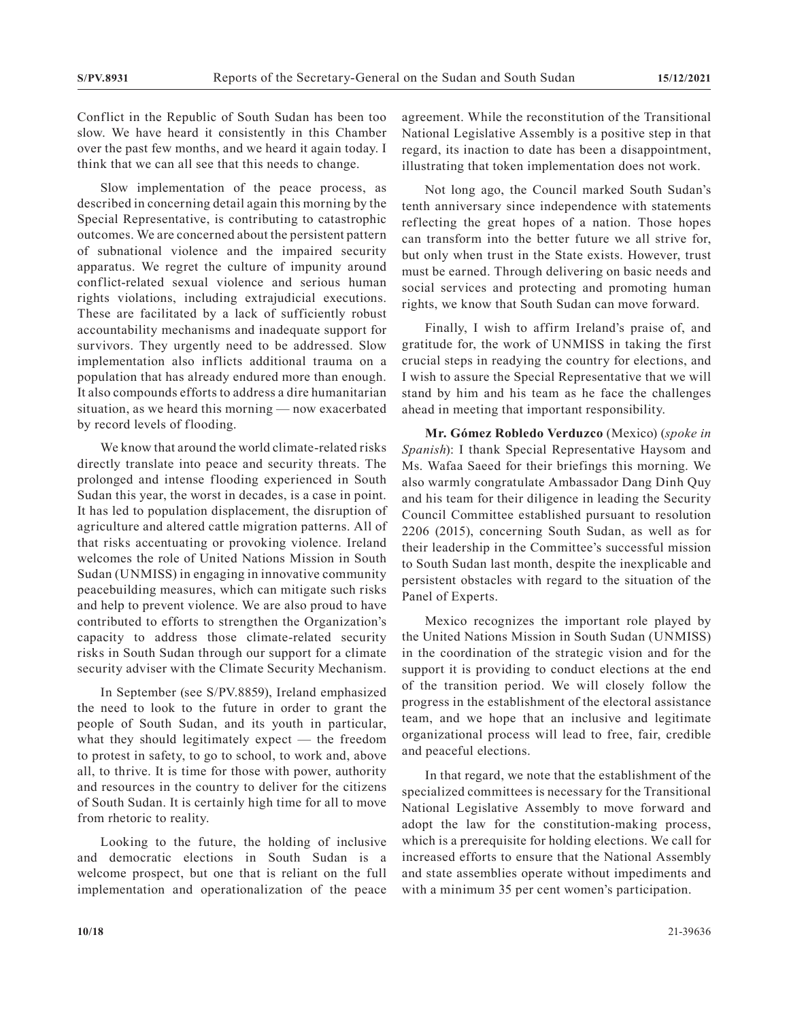Conflict in the Republic of South Sudan has been too slow. We have heard it consistently in this Chamber over the past few months, and we heard it again today. I think that we can all see that this needs to change.

Slow implementation of the peace process, as described in concerning detail again this morning by the Special Representative, is contributing to catastrophic outcomes. We are concerned about the persistent pattern of subnational violence and the impaired security apparatus. We regret the culture of impunity around conflict-related sexual violence and serious human rights violations, including extrajudicial executions. These are facilitated by a lack of sufficiently robust accountability mechanisms and inadequate support for survivors. They urgently need to be addressed. Slow implementation also inflicts additional trauma on a population that has already endured more than enough. It also compounds efforts to address a dire humanitarian situation, as we heard this morning — now exacerbated by record levels of flooding.

We know that around the world climate-related risks directly translate into peace and security threats. The prolonged and intense flooding experienced in South Sudan this year, the worst in decades, is a case in point. It has led to population displacement, the disruption of agriculture and altered cattle migration patterns. All of that risks accentuating or provoking violence. Ireland welcomes the role of United Nations Mission in South Sudan (UNMISS) in engaging in innovative community peacebuilding measures, which can mitigate such risks and help to prevent violence. We are also proud to have contributed to efforts to strengthen the Organization's capacity to address those climate-related security risks in South Sudan through our support for a climate security adviser with the Climate Security Mechanism.

In September (see S/PV.8859), Ireland emphasized the need to look to the future in order to grant the people of South Sudan, and its youth in particular, what they should legitimately expect — the freedom to protest in safety, to go to school, to work and, above all, to thrive. It is time for those with power, authority and resources in the country to deliver for the citizens of South Sudan. It is certainly high time for all to move from rhetoric to reality.

Looking to the future, the holding of inclusive and democratic elections in South Sudan is a welcome prospect, but one that is reliant on the full implementation and operationalization of the peace agreement. While the reconstitution of the Transitional National Legislative Assembly is a positive step in that regard, its inaction to date has been a disappointment, illustrating that token implementation does not work.

Not long ago, the Council marked South Sudan's tenth anniversary since independence with statements reflecting the great hopes of a nation. Those hopes can transform into the better future we all strive for, but only when trust in the State exists. However, trust must be earned. Through delivering on basic needs and social services and protecting and promoting human rights, we know that South Sudan can move forward.

Finally, I wish to affirm Ireland's praise of, and gratitude for, the work of UNMISS in taking the first crucial steps in readying the country for elections, and I wish to assure the Special Representative that we will stand by him and his team as he face the challenges ahead in meeting that important responsibility.

**Mr. Gómez Robledo Verduzco** (Mexico) (*spoke in Spanish*): I thank Special Representative Haysom and Ms. Wafaa Saeed for their briefings this morning. We also warmly congratulate Ambassador Dang Dinh Quy and his team for their diligence in leading the Security Council Committee established pursuant to resolution 2206 (2015), concerning South Sudan, as well as for their leadership in the Committee's successful mission to South Sudan last month, despite the inexplicable and persistent obstacles with regard to the situation of the Panel of Experts.

Mexico recognizes the important role played by the United Nations Mission in South Sudan (UNMISS) in the coordination of the strategic vision and for the support it is providing to conduct elections at the end of the transition period. We will closely follow the progress in the establishment of the electoral assistance team, and we hope that an inclusive and legitimate organizational process will lead to free, fair, credible and peaceful elections.

In that regard, we note that the establishment of the specialized committees is necessary for the Transitional National Legislative Assembly to move forward and adopt the law for the constitution-making process, which is a prerequisite for holding elections. We call for increased efforts to ensure that the National Assembly and state assemblies operate without impediments and with a minimum 35 per cent women's participation.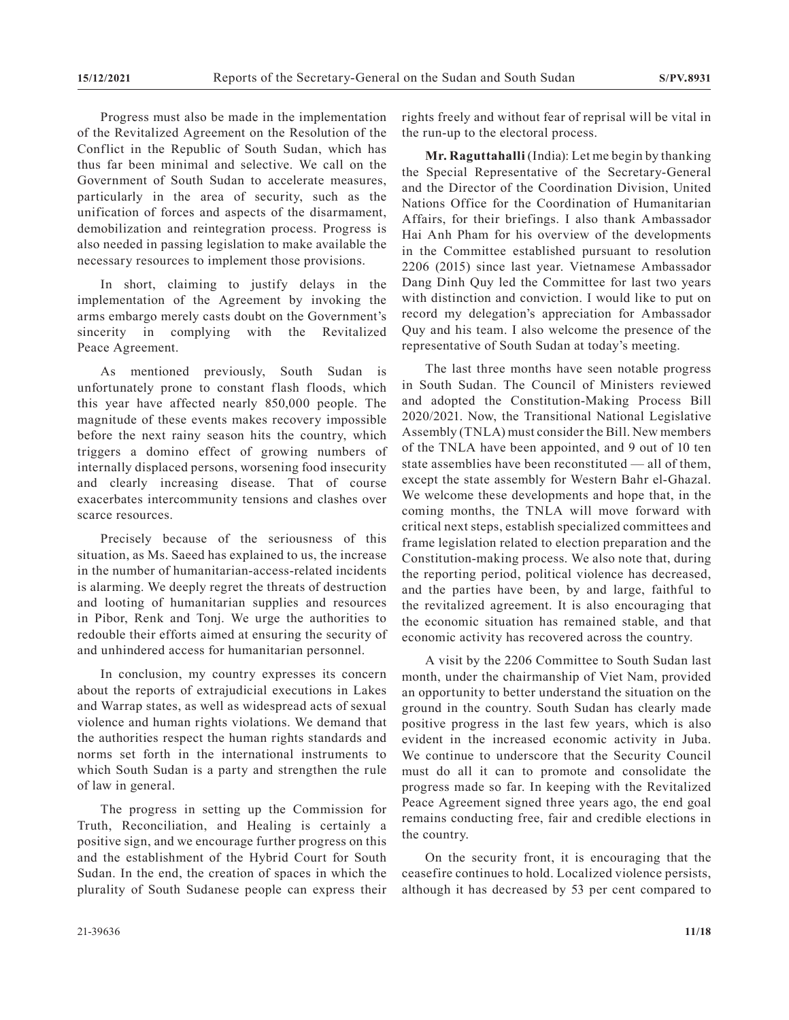Progress must also be made in the implementation of the Revitalized Agreement on the Resolution of the Conflict in the Republic of South Sudan, which has thus far been minimal and selective. We call on the Government of South Sudan to accelerate measures, particularly in the area of security, such as the unification of forces and aspects of the disarmament, demobilization and reintegration process. Progress is also needed in passing legislation to make available the necessary resources to implement those provisions.

In short, claiming to justify delays in the implementation of the Agreement by invoking the arms embargo merely casts doubt on the Government's sincerity in complying with the Revitalized Peace Agreement.

As mentioned previously, South Sudan is unfortunately prone to constant flash floods, which this year have affected nearly 850,000 people. The magnitude of these events makes recovery impossible before the next rainy season hits the country, which triggers a domino effect of growing numbers of internally displaced persons, worsening food insecurity and clearly increasing disease. That of course exacerbates intercommunity tensions and clashes over scarce resources.

Precisely because of the seriousness of this situation, as Ms. Saeed has explained to us, the increase in the number of humanitarian-access-related incidents is alarming. We deeply regret the threats of destruction and looting of humanitarian supplies and resources in Pibor, Renk and Tonj. We urge the authorities to redouble their efforts aimed at ensuring the security of and unhindered access for humanitarian personnel.

In conclusion, my country expresses its concern about the reports of extrajudicial executions in Lakes and Warrap states, as well as widespread acts of sexual violence and human rights violations. We demand that the authorities respect the human rights standards and norms set forth in the international instruments to which South Sudan is a party and strengthen the rule of law in general.

The progress in setting up the Commission for Truth, Reconciliation, and Healing is certainly a positive sign, and we encourage further progress on this and the establishment of the Hybrid Court for South Sudan. In the end, the creation of spaces in which the plurality of South Sudanese people can express their

rights freely and without fear of reprisal will be vital in the run-up to the electoral process.

**Mr. Raguttahalli** (India): Let me begin by thanking the Special Representative of the Secretary-General and the Director of the Coordination Division, United Nations Office for the Coordination of Humanitarian Affairs, for their briefings. I also thank Ambassador Hai Anh Pham for his overview of the developments in the Committee established pursuant to resolution 2206 (2015) since last year. Vietnamese Ambassador Dang Dinh Quy led the Committee for last two years with distinction and conviction. I would like to put on record my delegation's appreciation for Ambassador Quy and his team. I also welcome the presence of the representative of South Sudan at today's meeting.

The last three months have seen notable progress in South Sudan. The Council of Ministers reviewed and adopted the Constitution-Making Process Bill 2020/2021. Now, the Transitional National Legislative Assembly (TNLA) must consider the Bill. New members of the TNLA have been appointed, and 9 out of 10 ten state assemblies have been reconstituted — all of them, except the state assembly for Western Bahr el-Ghazal. We welcome these developments and hope that, in the coming months, the TNLA will move forward with critical next steps, establish specialized committees and frame legislation related to election preparation and the Constitution-making process. We also note that, during the reporting period, political violence has decreased, and the parties have been, by and large, faithful to the revitalized agreement. It is also encouraging that the economic situation has remained stable, and that economic activity has recovered across the country.

A visit by the 2206 Committee to South Sudan last month, under the chairmanship of Viet Nam, provided an opportunity to better understand the situation on the ground in the country. South Sudan has clearly made positive progress in the last few years, which is also evident in the increased economic activity in Juba. We continue to underscore that the Security Council must do all it can to promote and consolidate the progress made so far. In keeping with the Revitalized Peace Agreement signed three years ago, the end goal remains conducting free, fair and credible elections in the country.

On the security front, it is encouraging that the ceasefire continues to hold. Localized violence persists, although it has decreased by 53 per cent compared to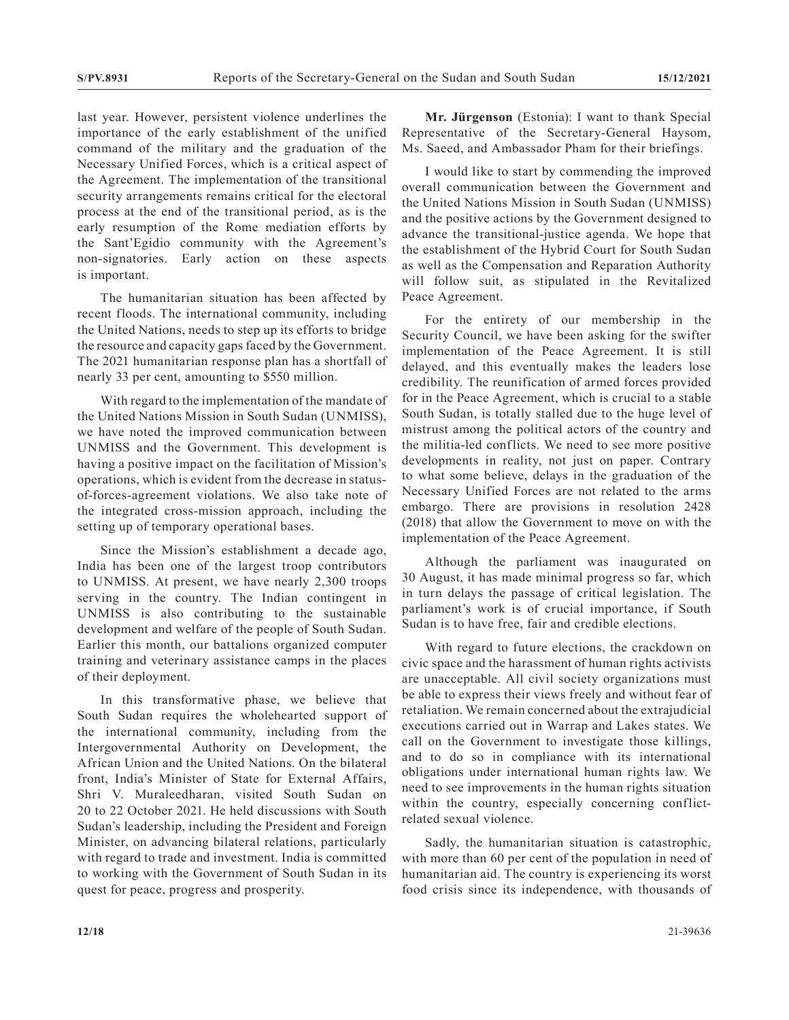last year. However, persistent violence underlines the importance of the early establishment of the unified command of the military and the graduation of the Necessary Unified Forces, which is a critical aspect of the Agreement. The implementation of the transitional security arrangements remains critical for the electoral process at the end of the transitional period, as is the early resumption of the Rome mediation efforts by the Sant'Egidio community with the Agreement's non-signatories. Early action on these aspects is important.

The humanitarian situation has been affected by recent floods. The international community, including the United Nations, needs to step up its efforts to bridge the resource and capacity gaps faced by the Government. The 2021 humanitarian response plan has a shortfall of nearly 33 per cent, amounting to \$550 million.

With regard to the implementation of the mandate of the United Nations Mission in South Sudan (UNMISS), we have noted the improved communication between UNMISS and the Government. This development is having a positive impact on the facilitation of Mission's operations, which is evident from the decrease in statusof-forces-agreement violations. We also take note of the integrated cross-mission approach, including the setting up of temporary operational bases.

Since the Mission's establishment a decade ago, India has been one of the largest troop contributors to UNMISS. At present, we have nearly 2,300 troops serving in the country. The Indian contingent in UNMISS is also contributing to the sustainable development and welfare of the people of South Sudan. Earlier this month, our battalions organized computer training and veterinary assistance camps in the places of their deployment.

In this transformative phase, we believe that South Sudan requires the wholehearted support of the international community, including from the Intergovernmental Authority on Development, the African Union and the United Nations. On the bilateral front, India's Minister of State for External Affairs, Shri V. Muraleedharan, visited South Sudan on 20 to 22 October 2021. He held discussions with South Sudan's leadership, including the President and Foreign Minister, on advancing bilateral relations, particularly with regard to trade and investment. India is committed to working with the Government of South Sudan in its quest for peace, progress and prosperity.

**Mr. Jürgenson** (Estonia): I want to thank Special Representative of the Secretary-General Haysom, Ms. Saeed, and Ambassador Pham for their briefings.

I would like to start by commending the improved overall communication between the Government and the United Nations Mission in South Sudan (UNMISS) and the positive actions by the Government designed to advance the transitional-justice agenda. We hope that the establishment of the Hybrid Court for South Sudan as well as the Compensation and Reparation Authority will follow suit, as stipulated in the Revitalized Peace Agreement.

For the entirety of our membership in the Security Council, we have been asking for the swifter implementation of the Peace Agreement. It is still delayed, and this eventually makes the leaders lose credibility. The reunification of armed forces provided for in the Peace Agreement, which is crucial to a stable South Sudan, is totally stalled due to the huge level of mistrust among the political actors of the country and the militia-led conflicts. We need to see more positive developments in reality, not just on paper. Contrary to what some believe, delays in the graduation of the Necessary Unified Forces are not related to the arms embargo. There are provisions in resolution 2428 (2018) that allow the Government to move on with the implementation of the Peace Agreement.

Although the parliament was inaugurated on 30 August, it has made minimal progress so far, which in turn delays the passage of critical legislation. The parliament's work is of crucial importance, if South Sudan is to have free, fair and credible elections.

With regard to future elections, the crackdown on civic space and the harassment of human rights activists are unacceptable. All civil society organizations must be able to express their views freely and without fear of retaliation. We remain concerned about the extrajudicial executions carried out in Warrap and Lakes states. We call on the Government to investigate those killings, and to do so in compliance with its international obligations under international human rights law. We need to see improvements in the human rights situation within the country, especially concerning conflictrelated sexual violence.

Sadly, the humanitarian situation is catastrophic, with more than 60 per cent of the population in need of humanitarian aid. The country is experiencing its worst food crisis since its independence, with thousands of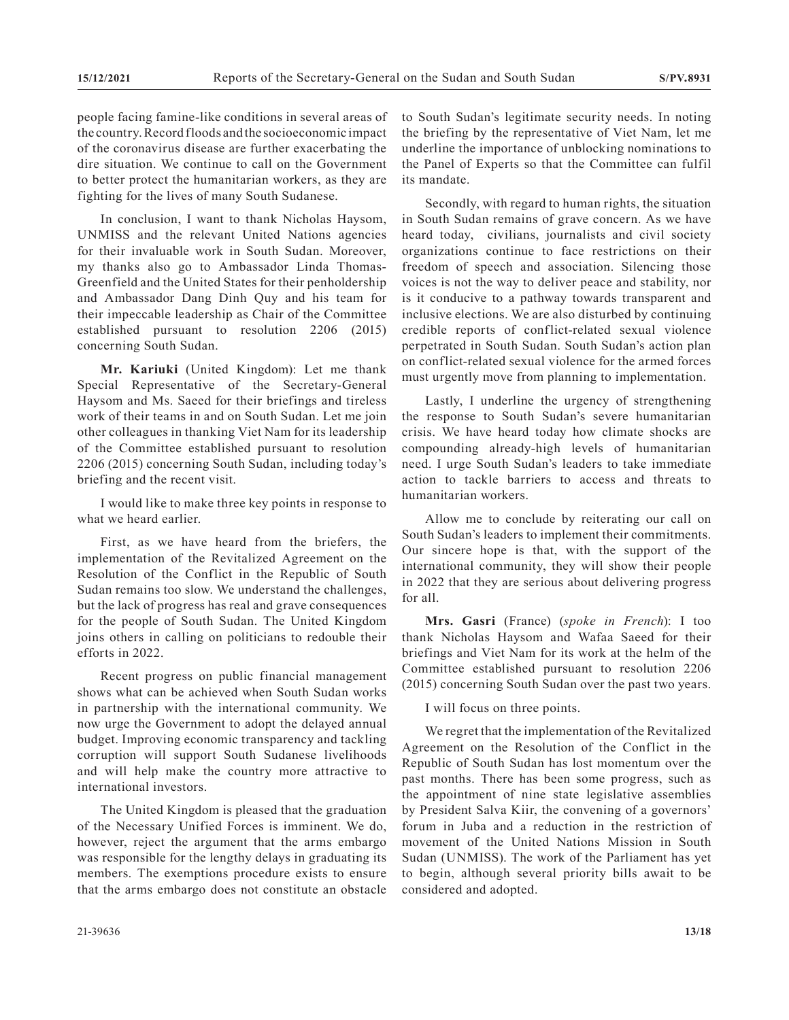people facing famine-like conditions in several areas of the country. Record floods and the socioeconomic impact of the coronavirus disease are further exacerbating the dire situation. We continue to call on the Government to better protect the humanitarian workers, as they are fighting for the lives of many South Sudanese.

In conclusion, I want to thank Nicholas Haysom, UNMISS and the relevant United Nations agencies for their invaluable work in South Sudan. Moreover, my thanks also go to Ambassador Linda Thomas-Greenfield and the United States for their penholdership and Ambassador Dang Dinh Quy and his team for their impeccable leadership as Chair of the Committee established pursuant to resolution 2206 (2015) concerning South Sudan.

**Mr. Kariuki** (United Kingdom): Let me thank Special Representative of the Secretary-General Haysom and Ms. Saeed for their briefings and tireless work of their teams in and on South Sudan. Let me join other colleagues in thanking Viet Nam for its leadership of the Committee established pursuant to resolution 2206 (2015) concerning South Sudan, including today's briefing and the recent visit.

I would like to make three key points in response to what we heard earlier.

First, as we have heard from the briefers, the implementation of the Revitalized Agreement on the Resolution of the Conflict in the Republic of South Sudan remains too slow. We understand the challenges, but the lack of progress has real and grave consequences for the people of South Sudan. The United Kingdom joins others in calling on politicians to redouble their efforts in 2022.

Recent progress on public financial management shows what can be achieved when South Sudan works in partnership with the international community. We now urge the Government to adopt the delayed annual budget. Improving economic transparency and tackling corruption will support South Sudanese livelihoods and will help make the country more attractive to international investors.

The United Kingdom is pleased that the graduation of the Necessary Unified Forces is imminent. We do, however, reject the argument that the arms embargo was responsible for the lengthy delays in graduating its members. The exemptions procedure exists to ensure that the arms embargo does not constitute an obstacle to South Sudan's legitimate security needs. In noting the briefing by the representative of Viet Nam, let me underline the importance of unblocking nominations to the Panel of Experts so that the Committee can fulfil its mandate.

Secondly, with regard to human rights, the situation in South Sudan remains of grave concern. As we have heard today, civilians, journalists and civil society organizations continue to face restrictions on their freedom of speech and association. Silencing those voices is not the way to deliver peace and stability, nor is it conducive to a pathway towards transparent and inclusive elections. We are also disturbed by continuing credible reports of conflict-related sexual violence perpetrated in South Sudan. South Sudan's action plan on conflict-related sexual violence for the armed forces must urgently move from planning to implementation.

Lastly, I underline the urgency of strengthening the response to South Sudan's severe humanitarian crisis. We have heard today how climate shocks are compounding already-high levels of humanitarian need. I urge South Sudan's leaders to take immediate action to tackle barriers to access and threats to humanitarian workers.

Allow me to conclude by reiterating our call on South Sudan's leaders to implement their commitments. Our sincere hope is that, with the support of the international community, they will show their people in 2022 that they are serious about delivering progress for all.

**Mrs. Gasri** (France) (*spoke in French*): I too thank Nicholas Haysom and Wafaa Saeed for their briefings and Viet Nam for its work at the helm of the Committee established pursuant to resolution 2206 (2015) concerning South Sudan over the past two years.

I will focus on three points.

We regret that the implementation of the Revitalized Agreement on the Resolution of the Conflict in the Republic of South Sudan has lost momentum over the past months. There has been some progress, such as the appointment of nine state legislative assemblies by President Salva Kiir, the convening of a governors' forum in Juba and a reduction in the restriction of movement of the United Nations Mission in South Sudan (UNMISS). The work of the Parliament has yet to begin, although several priority bills await to be considered and adopted.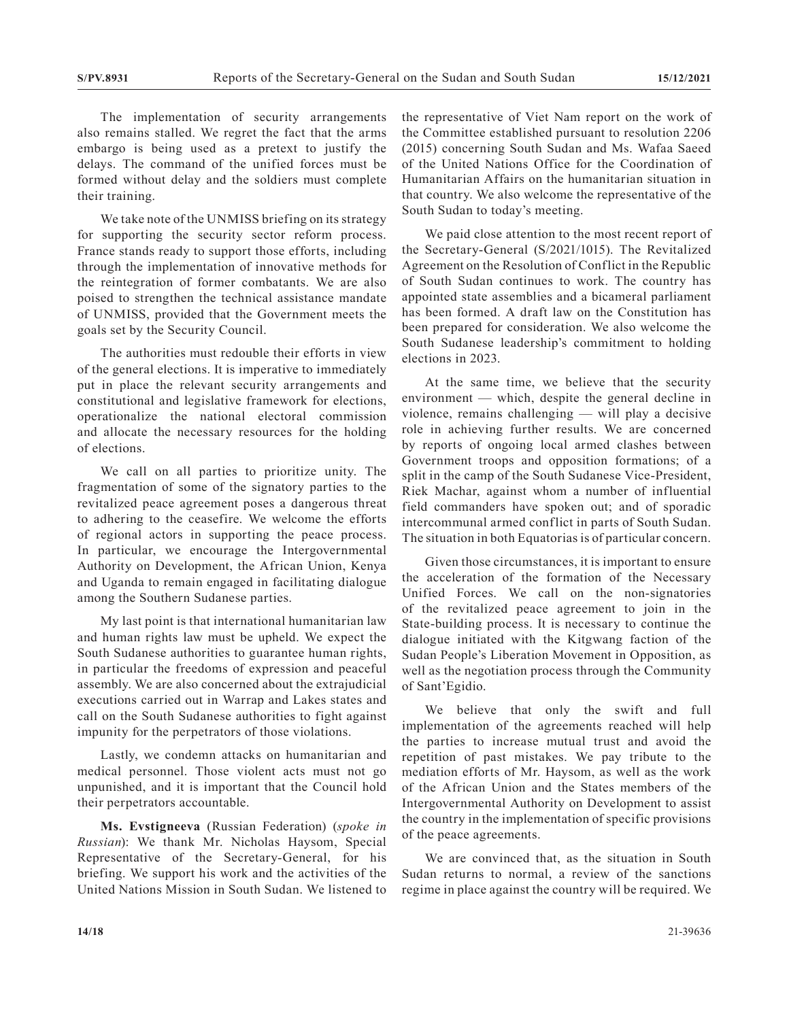The implementation of security arrangements also remains stalled. We regret the fact that the arms embargo is being used as a pretext to justify the delays. The command of the unified forces must be formed without delay and the soldiers must complete their training.

We take note of the UNMISS briefing on its strategy for supporting the security sector reform process. France stands ready to support those efforts, including through the implementation of innovative methods for the reintegration of former combatants. We are also poised to strengthen the technical assistance mandate of UNMISS, provided that the Government meets the goals set by the Security Council.

The authorities must redouble their efforts in view of the general elections. It is imperative to immediately put in place the relevant security arrangements and constitutional and legislative framework for elections, operationalize the national electoral commission and allocate the necessary resources for the holding of elections.

We call on all parties to prioritize unity. The fragmentation of some of the signatory parties to the revitalized peace agreement poses a dangerous threat to adhering to the ceasefire. We welcome the efforts of regional actors in supporting the peace process. In particular, we encourage the Intergovernmental Authority on Development, the African Union, Kenya and Uganda to remain engaged in facilitating dialogue among the Southern Sudanese parties.

My last point is that international humanitarian law and human rights law must be upheld. We expect the South Sudanese authorities to guarantee human rights, in particular the freedoms of expression and peaceful assembly. We are also concerned about the extrajudicial executions carried out in Warrap and Lakes states and call on the South Sudanese authorities to fight against impunity for the perpetrators of those violations.

Lastly, we condemn attacks on humanitarian and medical personnel. Those violent acts must not go unpunished, and it is important that the Council hold their perpetrators accountable.

**Ms. Evstigneeva** (Russian Federation) (*spoke in Russian*): We thank Mr. Nicholas Haysom, Special Representative of the Secretary-General, for his briefing. We support his work and the activities of the United Nations Mission in South Sudan. We listened to the representative of Viet Nam report on the work of the Committee established pursuant to resolution 2206 (2015) concerning South Sudan and Ms. Wafaa Saeed of the United Nations Office for the Coordination of Humanitarian Affairs on the humanitarian situation in that country. We also welcome the representative of the South Sudan to today's meeting.

We paid close attention to the most recent report of the Secretary-General (S/2021/1015). The Revitalized Agreement on the Resolution of Conflict in the Republic of South Sudan continues to work. The country has appointed state assemblies and a bicameral parliament has been formed. A draft law on the Constitution has been prepared for consideration. We also welcome the South Sudanese leadership's commitment to holding elections in 2023.

At the same time, we believe that the security environment — which, despite the general decline in violence, remains challenging — will play a decisive role in achieving further results. We are concerned by reports of ongoing local armed clashes between Government troops and opposition formations; of a split in the camp of the South Sudanese Vice-President, Riek Machar, against whom a number of influential field commanders have spoken out; and of sporadic intercommunal armed conflict in parts of South Sudan. The situation in both Equatorias is of particular concern.

Given those circumstances, it is important to ensure the acceleration of the formation of the Necessary Unified Forces. We call on the non-signatories of the revitalized peace agreement to join in the State-building process. It is necessary to continue the dialogue initiated with the Kitgwang faction of the Sudan People's Liberation Movement in Opposition, as well as the negotiation process through the Community of Sant'Egidio.

We believe that only the swift and full implementation of the agreements reached will help the parties to increase mutual trust and avoid the repetition of past mistakes. We pay tribute to the mediation efforts of Mr. Haysom, as well as the work of the African Union and the States members of the Intergovernmental Authority on Development to assist the country in the implementation of specific provisions of the peace agreements.

We are convinced that, as the situation in South Sudan returns to normal, a review of the sanctions regime in place against the country will be required. We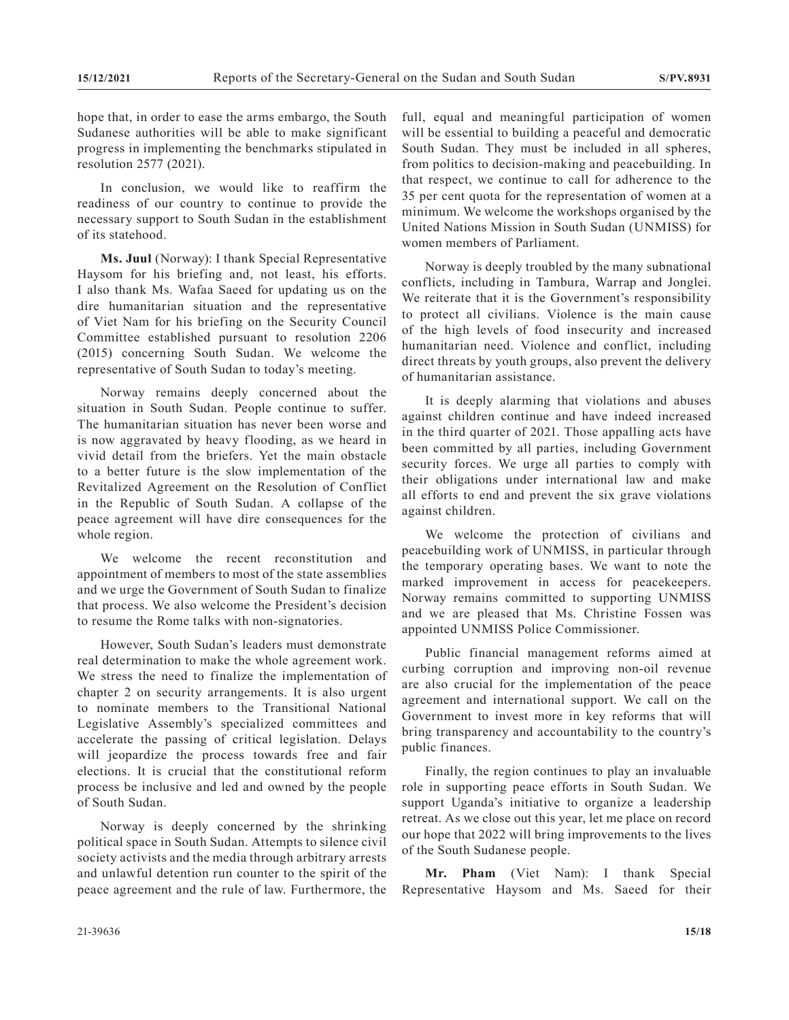hope that, in order to ease the arms embargo, the South Sudanese authorities will be able to make significant progress in implementing the benchmarks stipulated in resolution 2577 (2021).

In conclusion, we would like to reaffirm the readiness of our country to continue to provide the necessary support to South Sudan in the establishment of its statehood.

**Ms. Juul** (Norway): I thank Special Representative Haysom for his briefing and, not least, his efforts. I also thank Ms. Wafaa Saeed for updating us on the dire humanitarian situation and the representative of Viet Nam for his briefing on the Security Council Committee established pursuant to resolution 2206 (2015) concerning South Sudan. We welcome the representative of South Sudan to today's meeting.

Norway remains deeply concerned about the situation in South Sudan. People continue to suffer. The humanitarian situation has never been worse and is now aggravated by heavy flooding, as we heard in vivid detail from the briefers. Yet the main obstacle to a better future is the slow implementation of the Revitalized Agreement on the Resolution of Conflict in the Republic of South Sudan. A collapse of the peace agreement will have dire consequences for the whole region.

We welcome the recent reconstitution and appointment of members to most of the state assemblies and we urge the Government of South Sudan to finalize that process. We also welcome the President's decision to resume the Rome talks with non-signatories.

However, South Sudan's leaders must demonstrate real determination to make the whole agreement work. We stress the need to finalize the implementation of chapter 2 on security arrangements. It is also urgent to nominate members to the Transitional National Legislative Assembly's specialized committees and accelerate the passing of critical legislation. Delays will jeopardize the process towards free and fair elections. It is crucial that the constitutional reform process be inclusive and led and owned by the people of South Sudan.

Norway is deeply concerned by the shrinking political space in South Sudan. Attempts to silence civil society activists and the media through arbitrary arrests and unlawful detention run counter to the spirit of the peace agreement and the rule of law. Furthermore, the

full, equal and meaningful participation of women will be essential to building a peaceful and democratic South Sudan. They must be included in all spheres, from politics to decision-making and peacebuilding. In that respect, we continue to call for adherence to the 35 per cent quota for the representation of women at a minimum. We welcome the workshops organised by the United Nations Mission in South Sudan (UNMISS) for women members of Parliament.

Norway is deeply troubled by the many subnational conflicts, including in Tambura, Warrap and Jonglei. We reiterate that it is the Government's responsibility to protect all civilians. Violence is the main cause of the high levels of food insecurity and increased humanitarian need. Violence and conflict, including direct threats by youth groups, also prevent the delivery of humanitarian assistance.

It is deeply alarming that violations and abuses against children continue and have indeed increased in the third quarter of 2021. Those appalling acts have been committed by all parties, including Government security forces. We urge all parties to comply with their obligations under international law and make all efforts to end and prevent the six grave violations against children.

We welcome the protection of civilians and peacebuilding work of UNMISS, in particular through the temporary operating bases. We want to note the marked improvement in access for peacekeepers. Norway remains committed to supporting UNMISS and we are pleased that Ms. Christine Fossen was appointed UNMISS Police Commissioner.

Public financial management reforms aimed at curbing corruption and improving non-oil revenue are also crucial for the implementation of the peace agreement and international support. We call on the Government to invest more in key reforms that will bring transparency and accountability to the country's public finances.

Finally, the region continues to play an invaluable role in supporting peace efforts in South Sudan. We support Uganda's initiative to organize a leadership retreat. As we close out this year, let me place on record our hope that 2022 will bring improvements to the lives of the South Sudanese people.

**Mr. Pham** (Viet Nam): I thank Special Representative Haysom and Ms. Saeed for their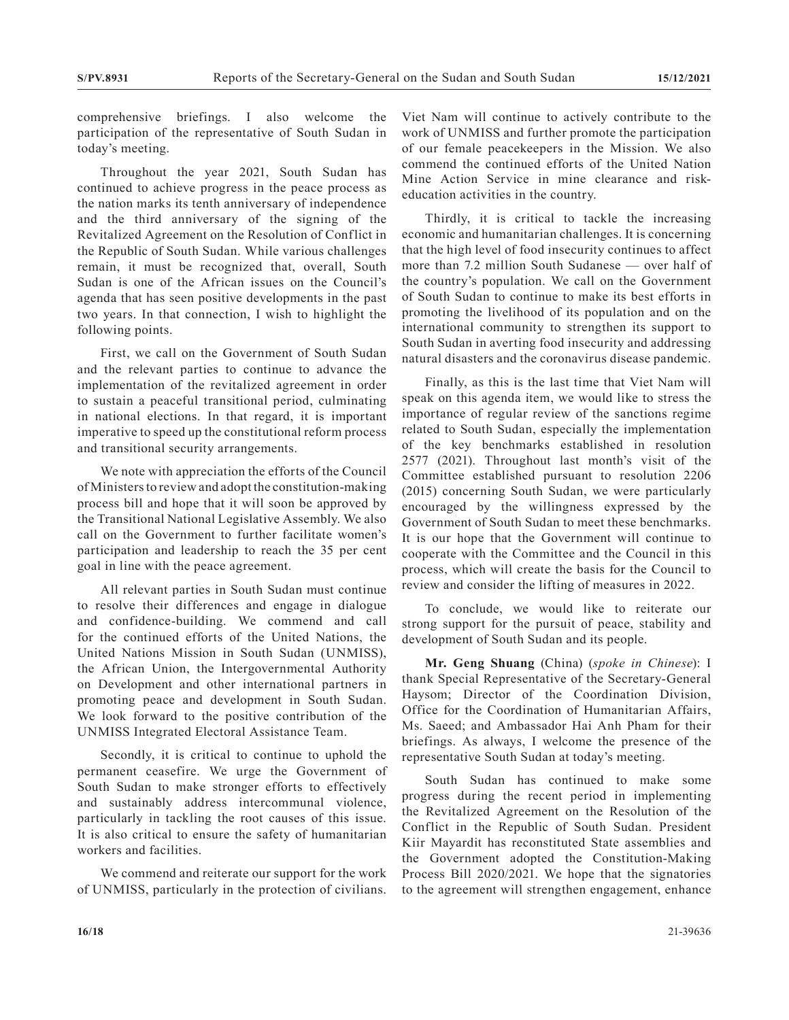comprehensive briefings. I also welcome the participation of the representative of South Sudan in today's meeting.

Throughout the year 2021, South Sudan has continued to achieve progress in the peace process as the nation marks its tenth anniversary of independence and the third anniversary of the signing of the Revitalized Agreement on the Resolution of Conflict in the Republic of South Sudan. While various challenges remain, it must be recognized that, overall, South Sudan is one of the African issues on the Council's agenda that has seen positive developments in the past two years. In that connection, I wish to highlight the following points.

First, we call on the Government of South Sudan and the relevant parties to continue to advance the implementation of the revitalized agreement in order to sustain a peaceful transitional period, culminating in national elections. In that regard, it is important imperative to speed up the constitutional reform process and transitional security arrangements.

We note with appreciation the efforts of the Council of Ministers to review and adopt the constitution-making process bill and hope that it will soon be approved by the Transitional National Legislative Assembly. We also call on the Government to further facilitate women's participation and leadership to reach the 35 per cent goal in line with the peace agreement.

All relevant parties in South Sudan must continue to resolve their differences and engage in dialogue and confidence-building. We commend and call for the continued efforts of the United Nations, the United Nations Mission in South Sudan (UNMISS), the African Union, the Intergovernmental Authority on Development and other international partners in promoting peace and development in South Sudan. We look forward to the positive contribution of the UNMISS Integrated Electoral Assistance Team.

Secondly, it is critical to continue to uphold the permanent ceasefire. We urge the Government of South Sudan to make stronger efforts to effectively and sustainably address intercommunal violence, particularly in tackling the root causes of this issue. It is also critical to ensure the safety of humanitarian workers and facilities.

We commend and reiterate our support for the work of UNMISS, particularly in the protection of civilians. Viet Nam will continue to actively contribute to the work of UNMISS and further promote the participation of our female peacekeepers in the Mission. We also commend the continued efforts of the United Nation Mine Action Service in mine clearance and riskeducation activities in the country.

Thirdly, it is critical to tackle the increasing economic and humanitarian challenges. It is concerning that the high level of food insecurity continues to affect more than 7.2 million South Sudanese — over half of the country's population. We call on the Government of South Sudan to continue to make its best efforts in promoting the livelihood of its population and on the international community to strengthen its support to South Sudan in averting food insecurity and addressing natural disasters and the coronavirus disease pandemic.

Finally, as this is the last time that Viet Nam will speak on this agenda item, we would like to stress the importance of regular review of the sanctions regime related to South Sudan, especially the implementation of the key benchmarks established in resolution 2577 (2021). Throughout last month's visit of the Committee established pursuant to resolution 2206 (2015) concerning South Sudan, we were particularly encouraged by the willingness expressed by the Government of South Sudan to meet these benchmarks. It is our hope that the Government will continue to cooperate with the Committee and the Council in this process, which will create the basis for the Council to review and consider the lifting of measures in 2022.

To conclude, we would like to reiterate our strong support for the pursuit of peace, stability and development of South Sudan and its people.

**Mr. Geng Shuang** (China) (*spoke in Chinese*): I thank Special Representative of the Secretary-General Haysom; Director of the Coordination Division, Office for the Coordination of Humanitarian Affairs, Ms. Saeed; and Ambassador Hai Anh Pham for their briefings. As always, I welcome the presence of the representative South Sudan at today's meeting.

South Sudan has continued to make some progress during the recent period in implementing the Revitalized Agreement on the Resolution of the Conflict in the Republic of South Sudan. President Kiir Mayardit has reconstituted State assemblies and the Government adopted the Constitution-Making Process Bill 2020/2021. We hope that the signatories to the agreement will strengthen engagement, enhance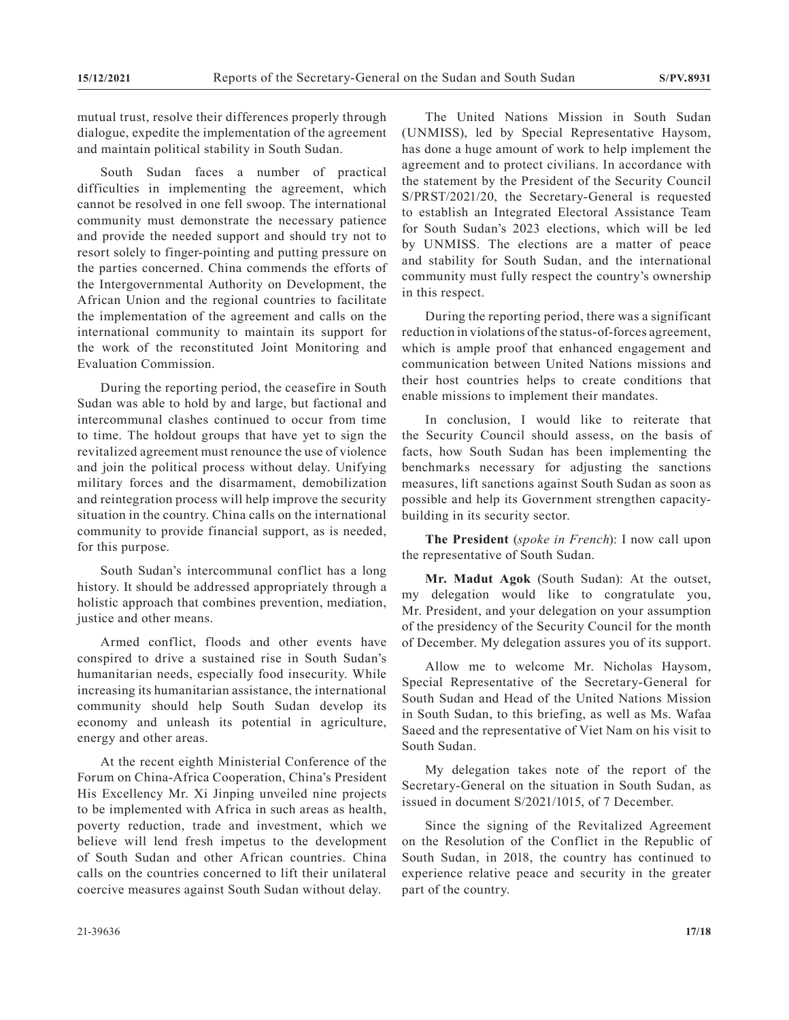mutual trust, resolve their differences properly through dialogue, expedite the implementation of the agreement and maintain political stability in South Sudan.

South Sudan faces a number of practical difficulties in implementing the agreement, which cannot be resolved in one fell swoop. The international community must demonstrate the necessary patience and provide the needed support and should try not to resort solely to finger-pointing and putting pressure on the parties concerned. China commends the efforts of the Intergovernmental Authority on Development, the African Union and the regional countries to facilitate the implementation of the agreement and calls on the international community to maintain its support for the work of the reconstituted Joint Monitoring and Evaluation Commission.

During the reporting period, the ceasefire in South Sudan was able to hold by and large, but factional and intercommunal clashes continued to occur from time to time. The holdout groups that have yet to sign the revitalized agreement must renounce the use of violence and join the political process without delay. Unifying military forces and the disarmament, demobilization and reintegration process will help improve the security situation in the country. China calls on the international community to provide financial support, as is needed, for this purpose.

South Sudan's intercommunal conflict has a long history. It should be addressed appropriately through a holistic approach that combines prevention, mediation, justice and other means.

Armed conflict, floods and other events have conspired to drive a sustained rise in South Sudan's humanitarian needs, especially food insecurity. While increasing its humanitarian assistance, the international community should help South Sudan develop its economy and unleash its potential in agriculture, energy and other areas.

At the recent eighth Ministerial Conference of the Forum on China-Africa Cooperation, China's President His Excellency Mr. Xi Jinping unveiled nine projects to be implemented with Africa in such areas as health, poverty reduction, trade and investment, which we believe will lend fresh impetus to the development of South Sudan and other African countries. China calls on the countries concerned to lift their unilateral coercive measures against South Sudan without delay.

The United Nations Mission in South Sudan (UNMISS), led by Special Representative Haysom, has done a huge amount of work to help implement the agreement and to protect civilians. In accordance with the statement by the President of the Security Council S/PRST/2021/20, the Secretary-General is requested to establish an Integrated Electoral Assistance Team for South Sudan's 2023 elections, which will be led by UNMISS. The elections are a matter of peace and stability for South Sudan, and the international community must fully respect the country's ownership in this respect.

During the reporting period, there was a significant reduction in violations of the status-of-forces agreement, which is ample proof that enhanced engagement and communication between United Nations missions and their host countries helps to create conditions that enable missions to implement their mandates.

In conclusion, I would like to reiterate that the Security Council should assess, on the basis of facts, how South Sudan has been implementing the benchmarks necessary for adjusting the sanctions measures, lift sanctions against South Sudan as soon as possible and help its Government strengthen capacitybuilding in its security sector.

**The President** (*spoke in French*): I now call upon the representative of South Sudan.

**Mr. Madut Agok** (South Sudan): At the outset, my delegation would like to congratulate you, Mr. President, and your delegation on your assumption of the presidency of the Security Council for the month of December. My delegation assures you of its support.

Allow me to welcome Mr. Nicholas Haysom, Special Representative of the Secretary-General for South Sudan and Head of the United Nations Mission in South Sudan, to this briefing, as well as Ms. Wafaa Saeed and the representative of Viet Nam on his visit to South Sudan.

My delegation takes note of the report of the Secretary-General on the situation in South Sudan, as issued in document S/2021/1015, of 7 December.

Since the signing of the Revitalized Agreement on the Resolution of the Conflict in the Republic of South Sudan, in 2018, the country has continued to experience relative peace and security in the greater part of the country.